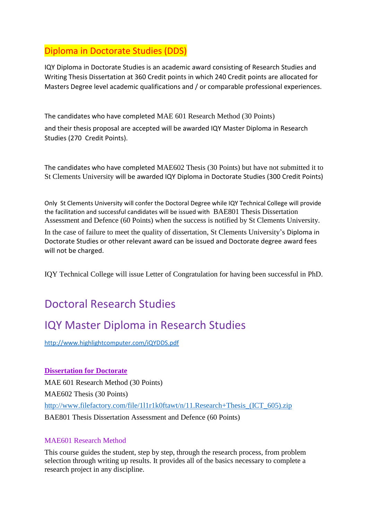# Diploma in Doctorate Studies (DDS)

IQY Diploma in Doctorate Studies is an academic award consisting of Research Studies and Writing Thesis Dissertation at 360 Credit points in which 240 Credit points are allocated for Masters Degree level academic qualifications and / or comparable professional experiences.

The candidates who have completed MAE 601 Research Method (30 Points) and their thesis proposal are accepted will be awarded IQY Master Diploma in Research Studies (270 Credit Points).

The candidates who have completed MAE602 Thesis (30 Points) but have not submitted it to St Clements University will be awarded IQY Diploma in Doctorate Studies (300 Credit Points)

Only St Clements University will confer the Doctoral Degree while IQY Technical College will provide the facilitation and successful candidates will be issued with BAE801 Thesis Dissertation Assessment and Defence (60 Points) when the success is notified by St Clements University.

In the case of failure to meet the quality of dissertation, St Clements University's Diploma in Doctorate Studies or other relevant award can be issued and Doctorate degree award fees will not be charged.

IQY Technical College will issue Letter of Congratulation for having been successful in PhD.

# Doctoral Research Studies

# IQY Master Diploma in Research Studies

<http://www.highlightcomputer.com/iQYDDS.pdf>

## **Dissertation for Doctorate**

MAE 601 Research Method (30 Points) MAE602 Thesis (30 Points) [http://www.filefactory.com/file/1l1r1k0ftawt/n/11.Research+Thesis\\_\(ICT\\_605\).zip](http://www.filefactory.com/file/1l1r1k0ftawt/n/11.Research+Thesis_(ICT_605).zip) BAE801 Thesis Dissertation Assessment and Defence (60 Points)

### MAE601 Research Method

This course guides the student, step by step, through the research process, from problem selection through writing up results. It provides all of the basics necessary to complete a research project in any discipline.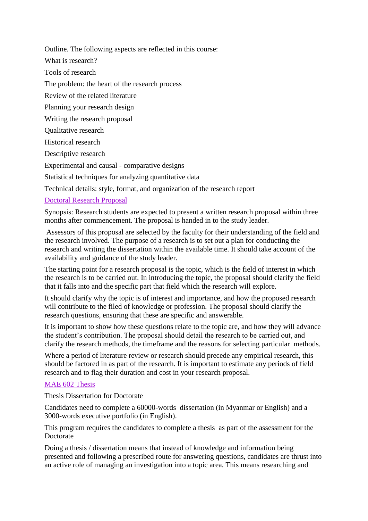Outline. The following aspects are reflected in this course:

What is research?

Tools of research

The problem: the heart of the research process

Review of the related literature

Planning your research design

Writing the research proposal

Qualitative research

Historical research

Descriptive research

Experimental and causal - comparative designs

Statistical techniques for analyzing quantitative data

Technical details: style, format, and organization of the research report

### Doctoral Research Proposal

Synopsis: Research students are expected to present a written research proposal within three months after commencement. The proposal is handed in to the study leader.

Assessors of this proposal are selected by the faculty for their understanding of the field and the research involved. The purpose of a research is to set out a plan for conducting the research and writing the dissertation within the available time. It should take account of the availability and guidance of the study leader.

The starting point for a research proposal is the topic, which is the field of interest in which the research is to be carried out. In introducing the topic, the proposal should clarify the field that it falls into and the specific part that field which the research will explore.

It should clarify why the topic is of interest and importance, and how the proposed research will contribute to the filed of knowledge or profession. The proposal should clarify the research questions, ensuring that these are specific and answerable.

It is important to show how these questions relate to the topic are, and how they will advance the student's contribution. The proposal should detail the research to be carried out, and clarify the research methods, the timeframe and the reasons for selecting particular methods.

Where a period of literature review or research should precede any empirical research, this should be factored in as part of the research. It is important to estimate any periods of field research and to flag their duration and cost in your research proposal.

### MAE 602 Thesis

Thesis Dissertation for Doctorate

Candidates need to complete a 60000-words dissertation (in Myanmar or English) and a 3000-words executive portfolio (in English).

This program requires the candidates to complete a thesis as part of the assessment for the Doctorate

Doing a thesis / dissertation means that instead of knowledge and information being presented and following a prescribed route for answering questions, candidates are thrust into an active role of managing an investigation into a topic area. This means researching and